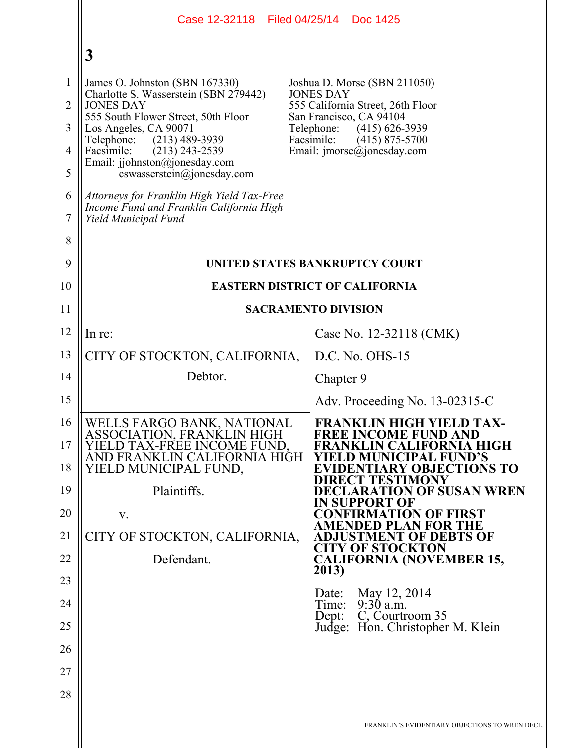|                                                                           | Case 12-32118 Filed 04/25/14 Doc 1425                                                                                                                                                                                                                                                                                                                                                                            |                                                                                                                                                                                                                                      |  |  |
|---------------------------------------------------------------------------|------------------------------------------------------------------------------------------------------------------------------------------------------------------------------------------------------------------------------------------------------------------------------------------------------------------------------------------------------------------------------------------------------------------|--------------------------------------------------------------------------------------------------------------------------------------------------------------------------------------------------------------------------------------|--|--|
|                                                                           | 3                                                                                                                                                                                                                                                                                                                                                                                                                |                                                                                                                                                                                                                                      |  |  |
| $\mathbf{1}$<br>$\overline{2}$<br>3<br>$\overline{4}$<br>5<br>6<br>7<br>8 | James O. Johnston (SBN 167330)<br>Charlotte S. Wasserstein (SBN 279442)<br><b>JONES DAY</b><br>555 South Flower Street, 50th Floor<br>Los Angeles, CA 90071<br>Telephone:<br>$(213)$ 489-3939<br>Facsimile:<br>$(213)$ 243-2539<br>Email: jjohnston@jonesday.com<br>cswasserstein@jonesday.com<br>Attorneys for Franklin High Yield Tax-Free<br>Income Fund and Franklin California High<br>Yield Municipal Fund | Joshua D. Morse (SBN 211050)<br><b>JONES DAY</b><br>555 California Street, 26th Floor<br>San Francisco, CA 94104<br>Telephone:<br>$(415)$ 626-3939<br>Facsimile:<br>$(415)$ 875-5700<br>Email: $\text{imorse}(\hat{a})$ jonesday.com |  |  |
| 9                                                                         | UNITED STATES BANKRUPTCY COURT                                                                                                                                                                                                                                                                                                                                                                                   |                                                                                                                                                                                                                                      |  |  |
| 10                                                                        | <b>EASTERN DISTRICT OF CALIFORNIA</b>                                                                                                                                                                                                                                                                                                                                                                            |                                                                                                                                                                                                                                      |  |  |
| 11                                                                        |                                                                                                                                                                                                                                                                                                                                                                                                                  | <b>SACRAMENTO DIVISION</b>                                                                                                                                                                                                           |  |  |
| 12                                                                        | In re:                                                                                                                                                                                                                                                                                                                                                                                                           | Case No. 12-32118 (CMK)                                                                                                                                                                                                              |  |  |
| 13                                                                        | CITY OF STOCKTON, CALIFORNIA,                                                                                                                                                                                                                                                                                                                                                                                    | $D.C. No. OHS-15$                                                                                                                                                                                                                    |  |  |
| 14                                                                        | Debtor.                                                                                                                                                                                                                                                                                                                                                                                                          | Chapter 9                                                                                                                                                                                                                            |  |  |
| 15                                                                        |                                                                                                                                                                                                                                                                                                                                                                                                                  | Adv. Proceeding No. 13-02315-C                                                                                                                                                                                                       |  |  |
| 16<br>17<br>18                                                            | WELLS FARGO BANK, NATIONAL<br>ASSOCIATION, FRANKLIN HIGH<br>YIELD TAX-FREE INCOME FUND,<br>AND FRANKLIN CALIFORNIA HIGH<br>YIELD MUNICIPAL FUND,                                                                                                                                                                                                                                                                 | <b>FRANKLIN HIGH YIELD TAX-</b><br><b>FREE INCOME FUND AND</b><br>FRANKLIN CALIFORNIA HIGH<br>YIELD MUNICIPAL FUND'S<br><b>EVIDENTIARY OBJECTIONS TO</b><br><b>DIRECT TESTIMONY</b>                                                  |  |  |
| 19<br>20                                                                  | Plaintiffs.<br>V.                                                                                                                                                                                                                                                                                                                                                                                                | <b>DECLARATION OF SUSAN WREN</b><br><b>IN SUPPORT OF</b><br><b>CONFIRMATION OF FIRST</b>                                                                                                                                             |  |  |
| 21                                                                        | CITY OF STOCKTON, CALIFORNIA,                                                                                                                                                                                                                                                                                                                                                                                    | <b>AMENDED PLAN FOR THE</b><br><b>ADJUSTMENT OF DEBTS OF</b>                                                                                                                                                                         |  |  |
| 22                                                                        | Defendant.                                                                                                                                                                                                                                                                                                                                                                                                       | <b>CITY OF STOCKTON</b><br><b>CALIFORNIA (NOVEMBER 15,</b>                                                                                                                                                                           |  |  |
| 23                                                                        |                                                                                                                                                                                                                                                                                                                                                                                                                  | 2013)                                                                                                                                                                                                                                |  |  |
| 24                                                                        |                                                                                                                                                                                                                                                                                                                                                                                                                  | May 12, 2014<br>Date:<br>$9:30$ a.m.<br>Time:                                                                                                                                                                                        |  |  |
| 25                                                                        |                                                                                                                                                                                                                                                                                                                                                                                                                  | C, Courtroom 35<br>Dept:<br>Judge: Hon. Christopher M. Klein                                                                                                                                                                         |  |  |
| 26                                                                        |                                                                                                                                                                                                                                                                                                                                                                                                                  |                                                                                                                                                                                                                                      |  |  |
| 27                                                                        |                                                                                                                                                                                                                                                                                                                                                                                                                  |                                                                                                                                                                                                                                      |  |  |
| 28                                                                        |                                                                                                                                                                                                                                                                                                                                                                                                                  |                                                                                                                                                                                                                                      |  |  |
|                                                                           |                                                                                                                                                                                                                                                                                                                                                                                                                  | FRANKLIN'S EVIDENTIARY OBJECTIONS TO WREN DECL.                                                                                                                                                                                      |  |  |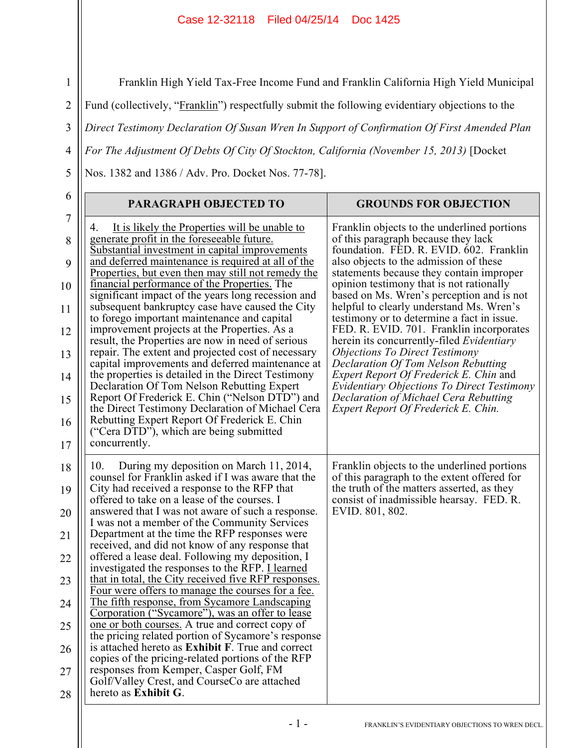## Case 12-32118 Filed 04/25/14 Doc 1425

Franklin High Yield Tax-Free Income Fund and Franklin California High Yield Municipal

Fund (collectively, "Franklin") respectfully submit the following evidentiary objections to the

3 *Direct Testimony Declaration Of Susan Wren In Support of Confirmation Of First Amended Plan* 

*For The Adjustment Of Debts Of City Of Stockton, California (November 15, 2013)* [Docket

Nos. 1382 and 1386 / Adv. Pro. Docket Nos. 77-78].

1

2

4

5

| 6                                                              | <b>PARAGRAPH OBJECTED TO</b>                                                                                                                                                                                                                                                                                                                                                                                                                                                                                                                                                                                                                                                                                                                                                                                                                                                                                                                                                                                                                                                               | <b>GROUNDS FOR OBJECTION</b>                                                                                                                                                                                                                                                                                                                                                                                                                                                                                                                    |
|----------------------------------------------------------------|--------------------------------------------------------------------------------------------------------------------------------------------------------------------------------------------------------------------------------------------------------------------------------------------------------------------------------------------------------------------------------------------------------------------------------------------------------------------------------------------------------------------------------------------------------------------------------------------------------------------------------------------------------------------------------------------------------------------------------------------------------------------------------------------------------------------------------------------------------------------------------------------------------------------------------------------------------------------------------------------------------------------------------------------------------------------------------------------|-------------------------------------------------------------------------------------------------------------------------------------------------------------------------------------------------------------------------------------------------------------------------------------------------------------------------------------------------------------------------------------------------------------------------------------------------------------------------------------------------------------------------------------------------|
| $\tau$<br>8<br>9<br>10<br>11<br>12<br>13                       | It is likely the Properties will be unable to<br>4.<br>generate profit in the foreseeable future.<br>Substantial investment in capital improvements<br>and deferred maintenance is required at all of the<br>Properties, but even then may still not remedy the<br>financial performance of the Properties. The<br>significant impact of the years long recession and<br>subsequent bankruptcy case have caused the City<br>to forego important maintenance and capital<br>improvement projects at the Properties. As a<br>result, the Properties are now in need of serious<br>repair. The extent and projected cost of necessary                                                                                                                                                                                                                                                                                                                                                                                                                                                         | Franklin objects to the underlined portions<br>of this paragraph because they lack<br>foundation. FED. R. EVID. 602. Franklin<br>also objects to the admission of these<br>statements because they contain improper<br>opinion testimony that is not rationally<br>based on Ms. Wren's perception and is not<br>helpful to clearly understand Ms. Wren's<br>testimony or to determine a fact in issue.<br>FED. R. EVID. 701. Franklin incorporates<br>herein its concurrently-filed <i>Evidentiary</i><br><b>Objections To Direct Testimony</b> |
| 14<br>15<br>16<br>17                                           | capital improvements and deferred maintenance at<br>the properties is detailed in the Direct Testimony<br>Declaration Of Tom Nelson Rebutting Expert<br>Report Of Frederick E. Chin ("Nelson DTD") and<br>the Direct Testimony Declaration of Michael Cera<br>Rebutting Expert Report Of Frederick E. Chin<br>("Cera DTD"), which are being submitted<br>concurrently.                                                                                                                                                                                                                                                                                                                                                                                                                                                                                                                                                                                                                                                                                                                     | Declaration Of Tom Nelson Rebutting<br><i>Expert Report Of Frederick E. Chin and</i><br><b>Evidentiary Objections To Direct Testimony</b><br>Declaration of Michael Cera Rebutting<br>Expert Report Of Frederick E. Chin.                                                                                                                                                                                                                                                                                                                       |
| 18<br>19<br>20<br>21<br>22<br>23<br>24<br>25<br>26<br>27<br>28 | During my deposition on March 11, 2014,<br>10.<br>counsel for Franklin asked if I was aware that the<br>City had received a response to the RFP that<br>offered to take on a lease of the courses. I<br>answered that I was not aware of such a response.<br>I was not a member of the Community Services<br>Department at the time the RFP responses were<br>received, and did not know of any response that<br>offered a lease deal. Following my deposition, I<br>investigated the responses to the RFP. I learned<br>that in total, the City received five RFP responses.<br>Four were offers to manage the courses for a fee.<br><u>The fifth response, from Sycamore Landscaping</u><br>Corporation ("Sycamore"), was an offer to lease<br>one or both courses. A true and correct copy of<br>the pricing related portion of Sycamore's response<br>is attached hereto as <b>Exhibit F</b> . True and correct<br>copies of the pricing-related portions of the RFP<br>responses from Kemper, Casper Golf, FM<br>Golf/Valley Crest, and CourseCo are attached<br>hereto as Exhibit G. | Franklin objects to the underlined portions<br>of this paragraph to the extent offered for<br>the truth of the matters asserted, as they<br>consist of inadmissible hearsay. FED. R.<br>EVID. 801, 802.                                                                                                                                                                                                                                                                                                                                         |